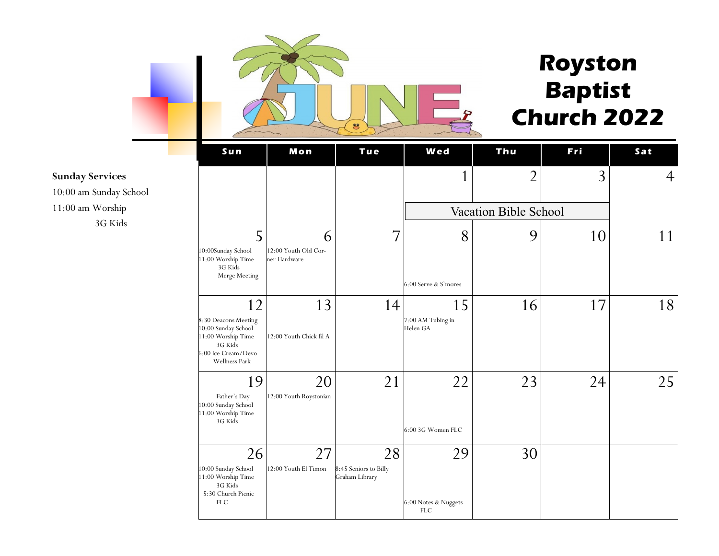

# **Royston Baptist Church 2022**

**S u n Mo n T u e W e d T hu F r i S a t**  $1 \begin{vmatrix} 2 & 3 & 4 \end{vmatrix}$ 5 10:00Sunday School 11:00 Worship Time 3G Kids Merge Meeting 6 12:00 Youth Old Corner Hardware 7 8 6:00 Serve & S'mores  $9$  10 11 12 8:30 Deacons Meeting 10:00 Sunday School 11:00 Worship Time 3G Kids 6:00 Ice Cream/Devo Wellness Park 13 12:00 Youth Chick fil A 14 15 7:00 AM Tubing in Helen GA 16 17 18 19 Father's Day 10:00 Sunday School 11:00 Worship Time 3G Kids 20 12:00 Youth Roystonian 21 22 6:00 3G Women FLC  $23$  24 25 26 10:00 Sunday School 11:00 Worship Time 3G Kids 5:30 Church Picnic FLC 27 12:00 Youth El Timon 28 8:45 Seniors to Billy Graham Library 29 6:00 Notes & Nuggets FLC 30 Vacation Bible School

#### **Sunday Services**

10:00 am Sunday School 11:00 am Worship 3G Kids